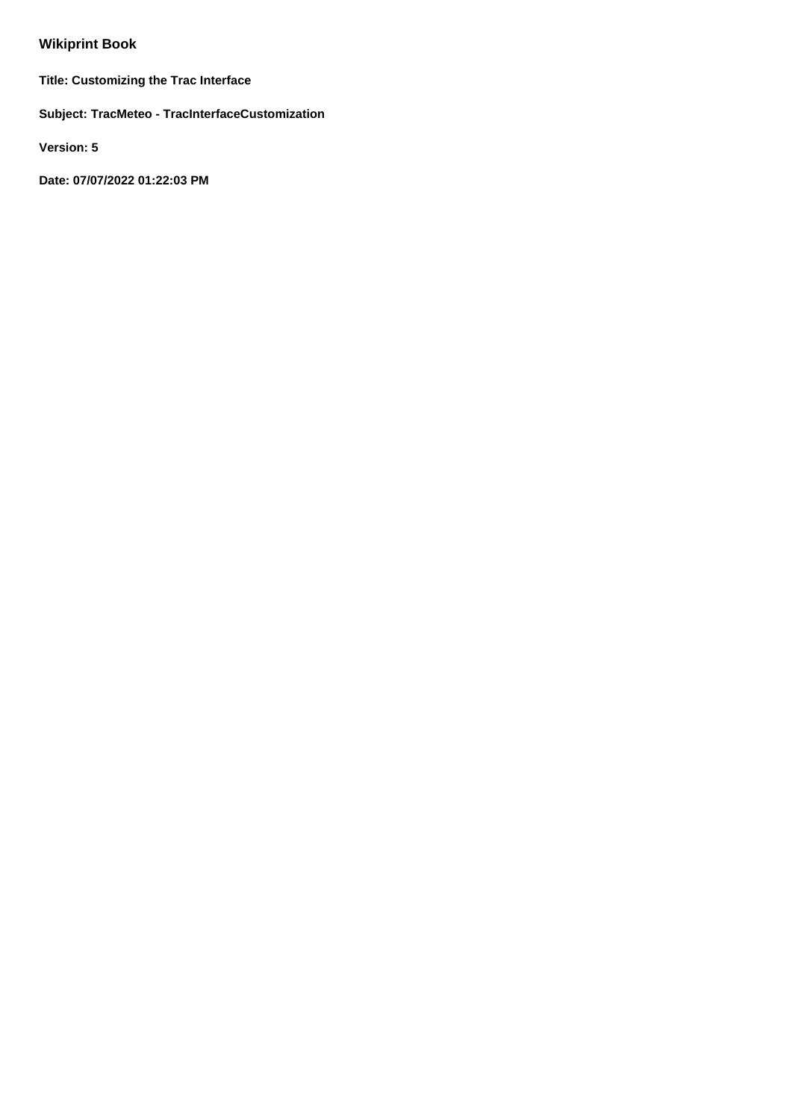# **Wikiprint Book**

**Title: Customizing the Trac Interface**

**Subject: TracMeteo - TracInterfaceCustomization**

**Version: 5**

**Date: 07/07/2022 01:22:03 PM**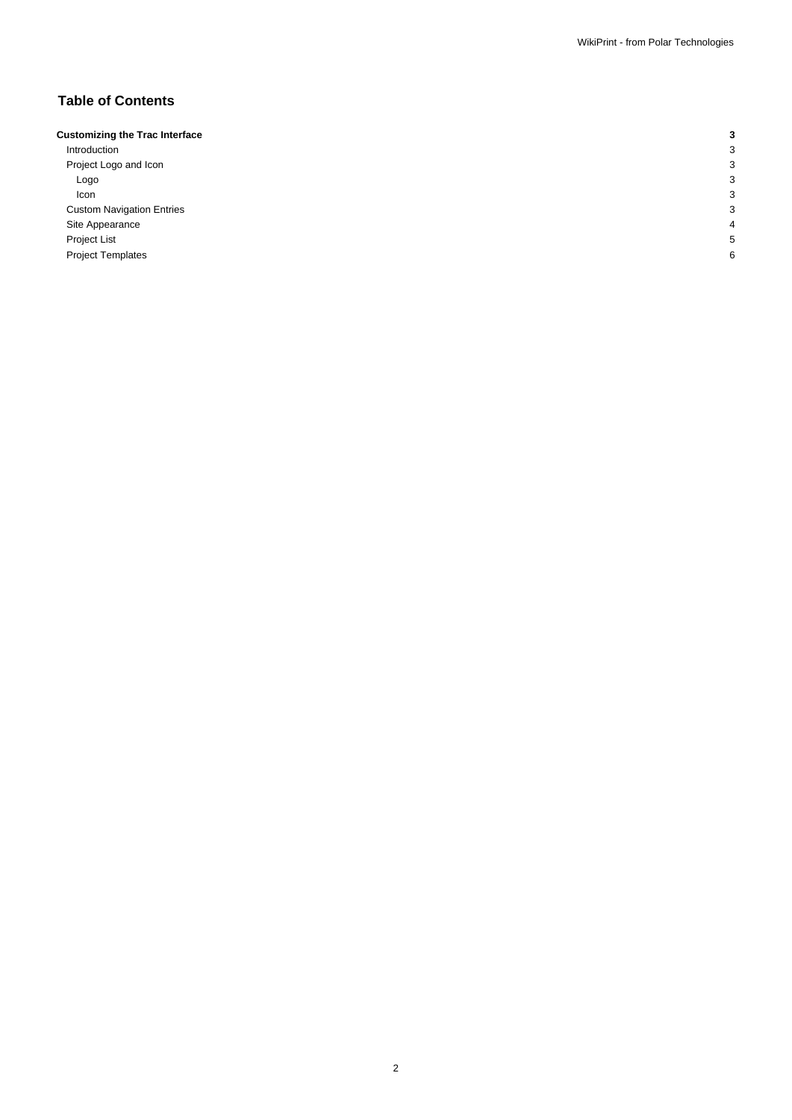## **Table of Contents**

| <b>Customizing the Trac Interface</b> |   |
|---------------------------------------|---|
| Introduction                          | c |
| Project Logo and Icon                 | З |
| Logo                                  | З |
| Icon                                  | З |
| <b>Custom Navigation Entries</b>      | З |
| Site Appearance                       | Δ |
| Project List                          |   |
| <b>Project Templates</b>              | 6 |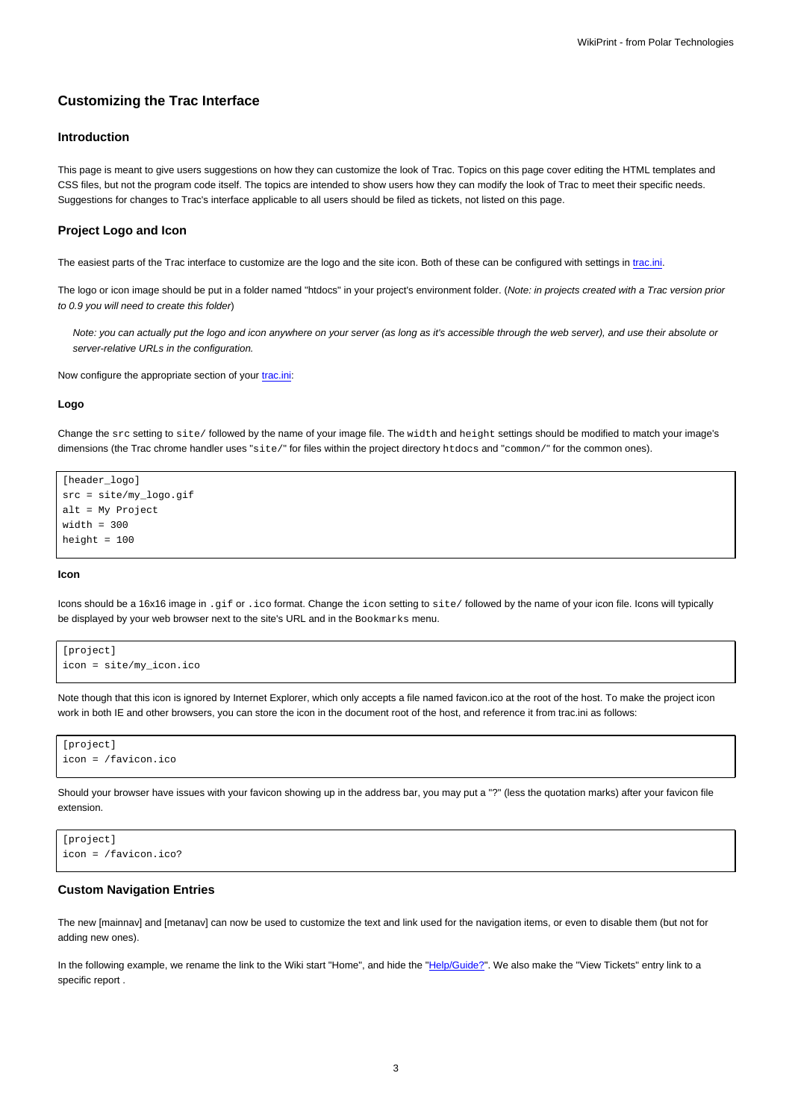## **Customizing the Trac Interface**

## **Introduction**

This page is meant to give users suggestions on how they can customize the look of Trac. Topics on this page cover editing the HTML templates and CSS files, but not the program code itself. The topics are intended to show users how they can modify the look of Trac to meet their specific needs. Suggestions for changes to Trac's interface applicable to all users should be filed as tickets, not listed on this page.

#### **Project Logo and Icon**

The easiest parts of the Trac interface to customize are the logo and the site icon. Both of these can be configured with settings in [trac.ini.](https://meteo.unican.es/trac/wiki/TracIni)

The logo or icon image should be put in a folder named "htdocs" in your project's environment folder. (Note: in projects created with a Trac version prior to 0.9 you will need to create this folder)

Note: you can actually put the logo and icon anywhere on your server (as long as it's accessible through the web server), and use their absolute or server-relative URLs in the configuration.

Now configure the appropriate section of your [trac.ini](https://meteo.unican.es/trac/wiki/TracIni):

#### **Logo**

Change the src setting to site/ followed by the name of your image file. The width and height settings should be modified to match your image's dimensions (the Trac chrome handler uses "site/" for files within the project directory htdocs and "common/" for the common ones).

```
[header_logo]
src = site/my_logo.gif
alt = My Project
width = 300
height = 100
```
#### **Icon**

Icons should be a 16x16 image in .gif or .ico format. Change the icon setting to site/ followed by the name of your icon file. Icons will typically be displayed by your web browser next to the site's URL and in the Bookmarks menu.

```
[project]
icon = site/my_icon.ico
```
Note though that this icon is ignored by Internet Explorer, which only accepts a file named favicon.ico at the root of the host. To make the project icon work in both IE and other browsers, you can store the icon in the document root of the host, and reference it from trac.ini as follows:

```
[project]
icon = /favicon.ico
```
Should your browser have issues with your favicon showing up in the address bar, you may put a "?" (less the quotation marks) after your favicon file extension.

```
[project]
icon = /favicon.ico?
```
#### **Custom Navigation Entries**

The new [mainnav] and [metanav] can now be used to customize the text and link used for the navigation items, or even to disable them (but not for adding new ones).

In the following example, we rename the link to the Wiki start "Home", and hide the "Help/Guide?". We also make the "View Tickets" entry link to a specific report .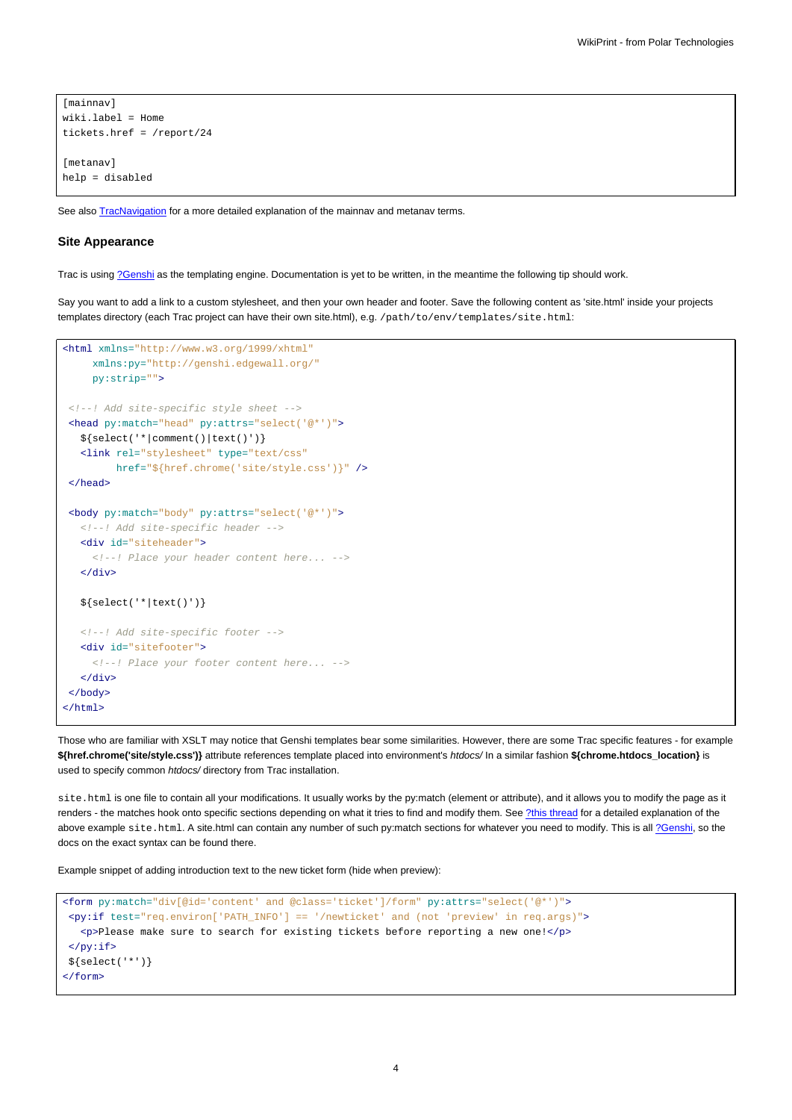```
[mainnav]
wiki.label = Home
tickets.href = /report/24
[metanav]
help = disabled
```
See also **[TracNavigation](https://meteo.unican.es/trac/wiki/TracNavigation)** for a more detailed explanation of the mainnav and metanav terms.

#### **Site Appearance**

Trac is using [?Genshi](http://genshi.edgewall.org) as the templating engine. Documentation is yet to be written, in the meantime the following tip should work.

Say you want to add a link to a custom stylesheet, and then your own header and footer. Save the following content as 'site.html' inside your projects templates directory (each Trac project can have their own site.html), e.g. /path/to/env/templates/site.html:

```
<html xmlns="http://www.w3.org/1999/xhtml"
    xmlns:py="http://genshi.edgewall.org/"
    py:strip="">
<!--! Add site-specific style sheet -->
<head py:match="head" py:attrs="select('@*')">
  ${select('*|comment()|text()')}
  <link rel="stylesheet" type="text/css"
        href="${href.chrome('site/style.css')}" />
 </head>
 <body py:match="body" py:attrs="select('@*')">
  <!--! Add site-specific header -->
  <div id="siteheader">
    <!--! Place your header content here... -->
  </div>
  ${select('*|text()')}
  <!--! Add site-specific footer -->
  <div id="sitefooter">
    <!--! Place your footer content here... -->
  </div>
</body>
</html>
```
Those who are familiar with XSLT may notice that Genshi templates bear some similarities. However, there are some Trac specific features - for example **\${href.chrome('site/style.css')}** attribute references template placed into environment's htdocs/ In a similar fashion **\${chrome.htdocs\_location}** is used to specify common htdocs/ directory from Trac installation.

site.html is one file to contain all your modifications. It usually works by the py:match (element or attribute), and it allows you to modify the page as it renders - the matches hook onto specific sections depending on what it tries to find and modify them. See [?this thread](http://groups.google.com/group/trac-users/browse_thread/thread/70487fb2c406c937/) for a detailed explanation of the above example site.html. A site.html can contain any number of such py:match sections for whatever you need to modify. This is all [?Genshi,](http://genshi.edgewall.org/) so the docs on the exact syntax can be found there.

Example snippet of adding introduction text to the new ticket form (hide when preview):

```
<form py:match="div[@id='content' and @class='ticket']/form" py:attrs="select('@*')">
<py:if test="req.environ['PATH_INFO'] == '/newticket' and (not 'preview' in req.args)">
   <p>Please make sure to search for existing tickets before reporting a new one!</p>
 \langle/py:if>
${select('*')}
</form>
```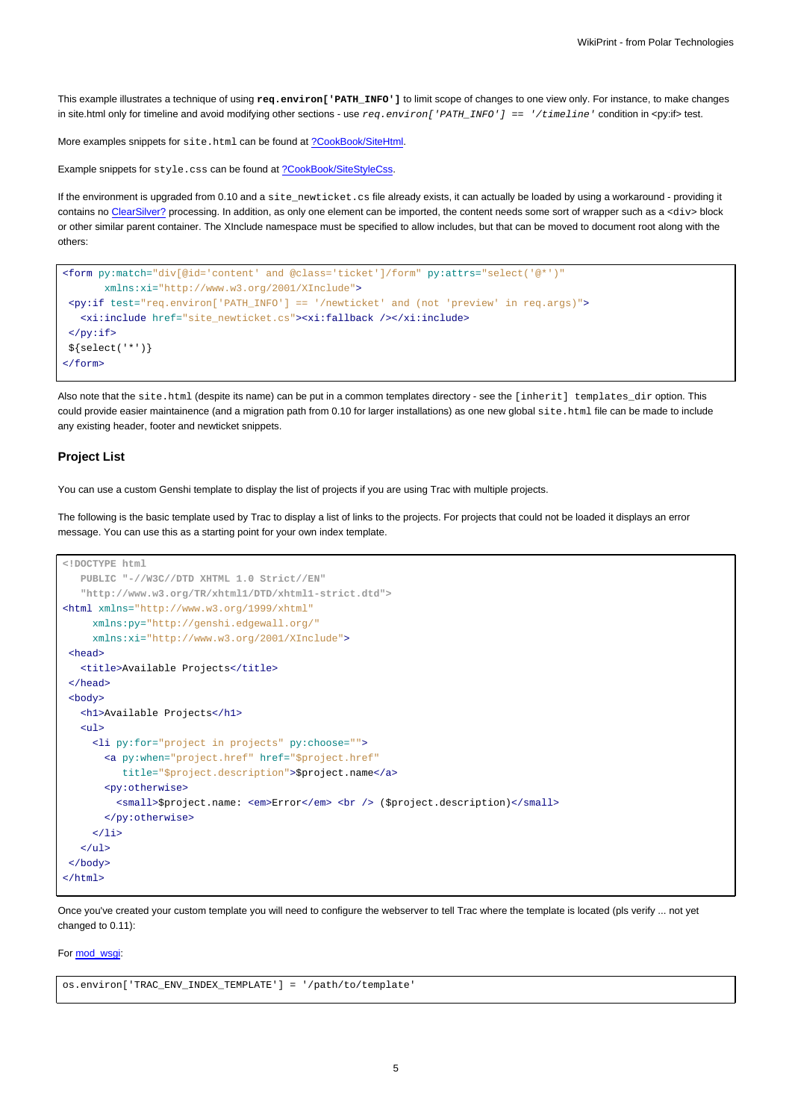This example illustrates a technique of using **req.environ['PATH\_INFO']** to limit scope of changes to one view only. For instance, to make changes in site.html only for timeline and avoid modifying other sections - use  $req.$   $environ['PATH\_INFO'] == '/timeline$   $line$   $i$  condition in <py:if> test.

More examples snippets for site.html can be found at [?CookBook/SiteHtml](http://trac.edgewall.org/intertrac/wiki%3ACookBook/SiteHtml).

Example snippets for style.css can be found at [?CookBook/SiteStyleCss](http://trac.edgewall.org/intertrac/wiki%3ACookBook/SiteStyleCss).

If the environment is upgraded from 0.10 and a site\_newticket.cs file already exists, it can actually be loaded by using a workaround - providing it contains no ClearSilver? processing. In addition, as only one element can be imported, the content needs some sort of wrapper such as a <div> block or other similar parent container. The XInclude namespace must be specified to allow includes, but that can be moved to document root along with the others:

```
<form py:match="div[@id='content' and @class='ticket']/form" py:attrs="select('@*')"
      xmlns:xi="http://www.w3.org/2001/XInclude">
<py:if test="req.environ['PATH_INFO'] == '/newticket' and (not 'preview' in req.args)">
  <xi:include href="site_newticket.cs"><xi:fallback /></xi:include>
\langle/py:if>
${select('*')}
</form>
```
Also note that the site.html (despite its name) can be put in a common templates directory - see the [inherit] templates dir option. This could provide easier maintainence (and a migration path from 0.10 for larger installations) as one new global site.html file can be made to include any existing header, footer and newticket snippets.

#### **Project List**

You can use a custom Genshi template to display the list of projects if you are using Trac with multiple projects.

The following is the basic template used by Trac to display a list of links to the projects. For projects that could not be loaded it displays an error message. You can use this as a starting point for your own index template.

```
<!DOCTYPE html
  PUBLIC "-//W3C//DTD XHTML 1.0 Strict//EN"
   "http://www.w3.org/TR/xhtml1/DTD/xhtml1-strict.dtd">
<html xmlns="http://www.w3.org/1999/xhtml"
    xmlns:py="http://genshi.edgewall.org/"
    xmlns:xi="http://www.w3.org/2001/XInclude">
 <head>
   <title>Available Projects</title>
 </head>
 <br />
shody>
  <h1>Available Projects</h1>
   \langle u \rangle<li py:for="project in projects" py:choose="">
       <a py:when="project.href" href="$project.href"
          title="$project.description">$project.name</a>
       <py:otherwise>
         <small>$project.name: <em>Error</em> <br />> />> ($project.description)</small>
       </py:otherwise>
     \langle/li>
   \langle/ul>
</body>
</html>
```
Once you've created your custom template you will need to configure the webserver to tell Trac where the template is located (pls verify ... not yet changed to 0.11):

### For [mod\\_wsgi:](https://meteo.unican.es/trac/wiki/TracModWSGI)

os.environ['TRAC\_ENV\_INDEX\_TEMPLATE'] = '/path/to/template'